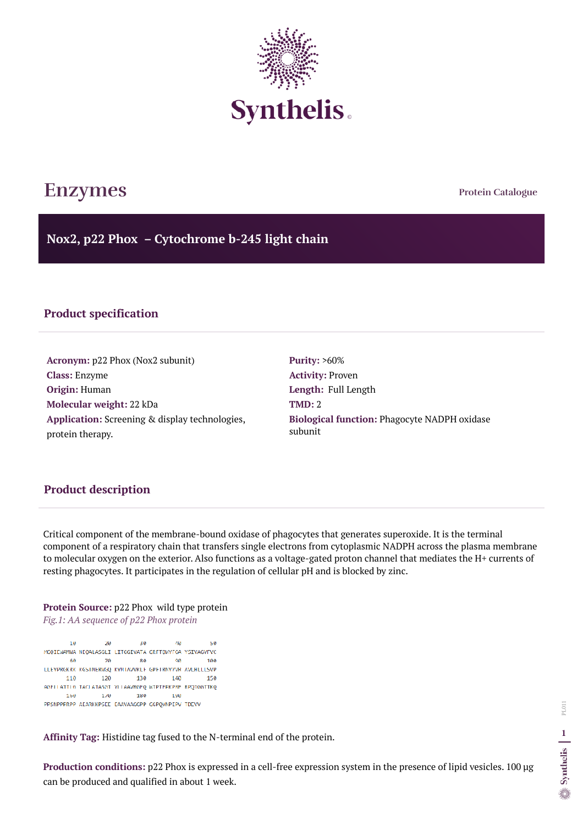**Protein Catalogue**

**Nox2, p22 Phox – Cytochrome b-245 light chain**



# **Enzymes**

#### **Product specification**

**Acronym:** p22 Phox (Nox2 subunit) **Class:** Enzyme **Origin:** Human **Molecular weight:** 22 kDa **Application:** Screening & display technologies, protein therapy.

**Purity:** >60% **Activity:** Proven **Length:** Full Length **TMD:** 2 **Biological function:** Phagocyte NADPH oxidase subunit

## **Product description**

Critical component of the membrane-bound oxidase of phagocytes that generates superoxide. It is the terminal component of a respiratory chain that transfers single electrons from cytoplasmic NADPH across the plasma membrane to molecular oxygen on the exterior. Also functions as a voltage-gated proton channel that mediates the H+ currents of resting phagocytes. It participates in the regulation of cellular pH and is blocked by zinc.

**Protein Source:** p22 Phox wild type protein *Fig.1: AA sequence of p22 Phox protein* 

20 50 10 30 46 MGQIEWAMWA NEQALASGLI LITGGIVATA GRETQWYEGA YSIVAGVEVC 70 60 80 98 100 LLEYPRGKRK KGSTMERWGQ KYMTAVVKLF GPFTRNYYVR AVLHLLLSVP 120 130 148 150 110 AGELLATTIG TACLATASGT YLLAAVRGEQ WTPTEPKPRE RPQTGGTTKQ  $1/9$ 180 160 198 PPSNPPPRPP AEARKKPSEE EAAVAAGGPP GGPQVNPIPV TDEVV

**Affinity Tag:** Histidine tag fused to the N-terminal end of the protein.

**Production conditions:** p22 Phox is expressed in a cell-free expression system in the presence of lipid vesicles. 100 µg can be produced and qualified in about 1 week.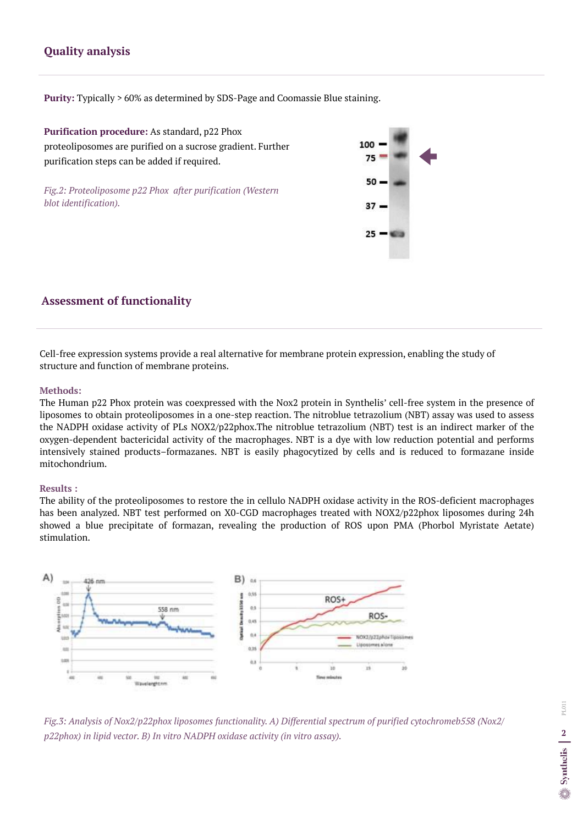Cell-free expression systems provide a real alternative for membrane protein expression, enabling the study of structure and function of membrane proteins.

#### **Methods:**

The Human p22 Phox protein was coexpressed with the Nox2 protein in Synthelis' cell-free system in the presence of liposomes to obtain proteoliposomes in a one-step reaction. The nitroblue tetrazolium (NBT) assay was used to assess the NADPH oxidase activity of PLs NOX2/p22phox.The nitroblue tetrazolium (NBT) test is an indirect marker of the oxygen-dependent bactericidal activity of the macrophages. NBT is a dye with low reduction potential and performs intensively stained products–formazanes. NBT is easily phagocytized by cells and is reduced to formazane inside mitochondrium.

#### **Results :**

The ability of the proteoliposomes to restore the in cellulo NADPH oxidase activity in the ROS-deficient macrophages has been analyzed. NBT test performed on X0-CGD macrophages treated with NOX2/p22phox liposomes during 24h showed a blue precipitate of formazan, revealing the production of ROS upon PMA (Phorbol Myristate Aetate) stimulation.



#### **Assessment of functionality**

## **Quality analysis**

**Purity:** Typically > 60% as determined by SDS-Page and Coomassie Blue staining.

**Purification procedure:** As standard, p22 Phox proteoliposomes are purified on a sucrose gradient. Further purification steps can be added if required.

*Fig.2: Proteoliposome p22 Phox after purification (Western blot identification).*



*Fig.3: Analysis of Nox2/p22phox liposomes functionality. A) Differential spectrum of purified cytochromeb558 (Nox2/ p22phox) in lipid vector. B) In vitro NADPH oxidase activity (in vitro assay).*